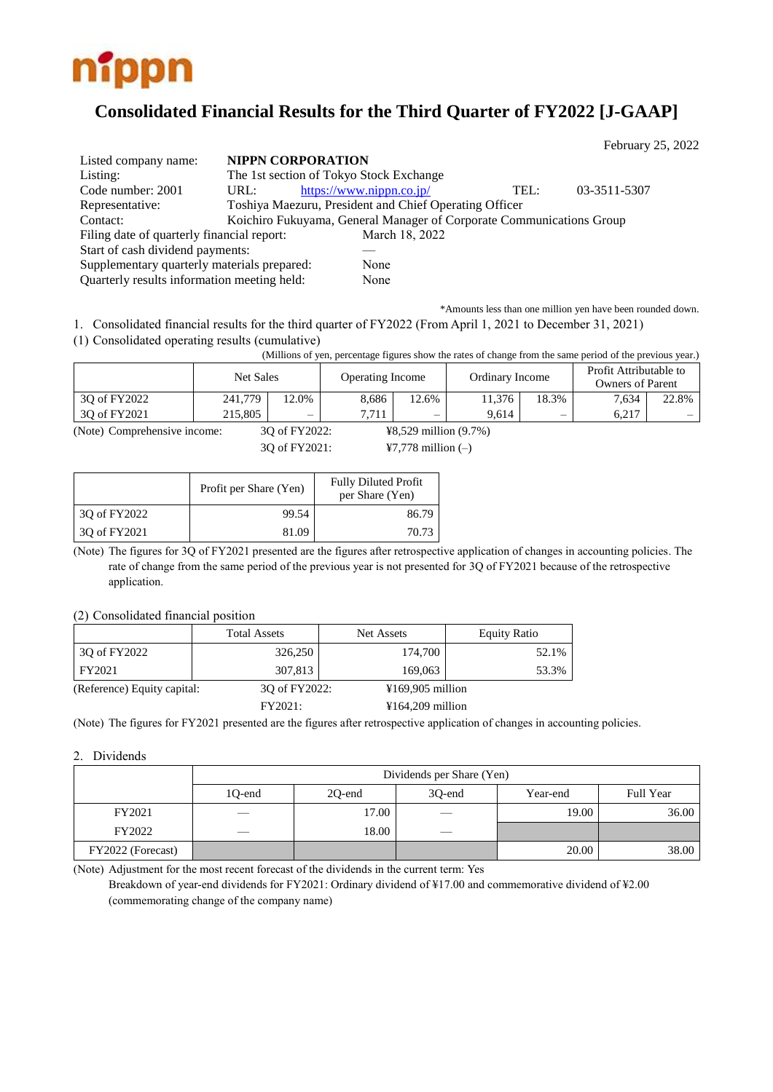

# **Consolidated Financial Results for the Third Quarter of FY2022 [J-GAAP]**

|                                             |      |                                                                      |      | February 25, 2022 |  |
|---------------------------------------------|------|----------------------------------------------------------------------|------|-------------------|--|
| Listed company name:                        |      | <b>NIPPN CORPORATION</b>                                             |      |                   |  |
| Listing:                                    |      | The 1st section of Tokyo Stock Exchange                              |      |                   |  |
| Code number: 2001                           | URL: | https://www.nippn.co.jp/                                             | TEL: | 03-3511-5307      |  |
| Representative:                             |      | Toshiya Maezuru, President and Chief Operating Officer               |      |                   |  |
| Contact:                                    |      | Koichiro Fukuyama, General Manager of Corporate Communications Group |      |                   |  |
| Filing date of quarterly financial report:  |      | March 18, 2022                                                       |      |                   |  |
| Start of cash dividend payments:            |      |                                                                      |      |                   |  |
| Supplementary quarterly materials prepared: |      | None                                                                 |      |                   |  |
| Quarterly results information meeting held: |      | None                                                                 |      |                   |  |

\*Amounts less than one million yen have been rounded down.

1. Consolidated financial results for the third quarter of FY2022 (From April 1, 2021 to December 31, 2021)

(1) Consolidated operating results (cumulative)

(Millions of yen, percentage figures show the rates of change from the same period of the previous year.)

|              | Net Sales |          | <b>Operating Income</b> |                          | Ordinary Income |       | Profit Attributable to<br><b>Owners of Parent</b> |                          |
|--------------|-----------|----------|-------------------------|--------------------------|-----------------|-------|---------------------------------------------------|--------------------------|
| 30 of FY2022 | 241,779   | $12.0\%$ | 8,686                   | 12.6%                    | 11.376          | 18.3% | 7.634                                             | 22.8%                    |
| 30 of FY2021 | 215,805   | —        | 7.71 <sub>1</sub>       | $\overline{\phantom{0}}$ | 9.614           | —     | 6.217                                             | $\overline{\phantom{a}}$ |

(Note) Comprehensive income: 3Q of FY2022: ¥8,529 million (9.7%)

3Q of FY2021: ¥7,778 million (–)

|              | Profit per Share (Yen) | <b>Fully Diluted Profit</b><br>per Share (Yen) |
|--------------|------------------------|------------------------------------------------|
| 30 of FY2022 | 99.54                  | 86.79                                          |
| 3Q of FY2021 | 81.09                  | 70.73                                          |

(Note) The figures for 3Q of FY2021 presented are the figures after retrospective application of changes in accounting policies. The rate of change from the same period of the previous year is not presented for 3Q of FY2021 because of the retrospective application.

### (2) Consolidated financial position

|                             | <b>Total Assets</b> | Net Assets                            | <b>Equity Ratio</b> |
|-----------------------------|---------------------|---------------------------------------|---------------------|
| 3Q of FY2022                | 326,250             | 174,700                               | 52.1%               |
| FY2021                      | 307,813             | 169,063                               | 53.3%               |
| (Reference) Equity capital: | 30 of FY2022:       | $\text{\textsterling}169,905$ million |                     |
|                             | FY2021:             | $\text{\textsterling}164,209$ million |                     |

(Note) The figures for FY2021 presented are the figures after retrospective application of changes in accounting policies.

### 2. Dividends

|                   | Dividends per Share (Yen) |        |                   |          |           |  |  |  |
|-------------------|---------------------------|--------|-------------------|----------|-----------|--|--|--|
|                   | 1O-end                    | 20-end | 30-end            | Year-end | Full Year |  |  |  |
| FY2021            |                           | 17.00  | $\hspace{0.05cm}$ | 19.00    | 36.00     |  |  |  |
| FY2022            |                           | 18.00  | $\frac{1}{2}$     |          |           |  |  |  |
| FY2022 (Forecast) |                           |        |                   | 20.00    | 38.00     |  |  |  |

(Note) Adjustment for the most recent forecast of the dividends in the current term: Yes

Breakdown of year-end dividends for FY2021: Ordinary dividend of ¥17.00 and commemorative dividend of ¥2.00 (commemorating change of the company name)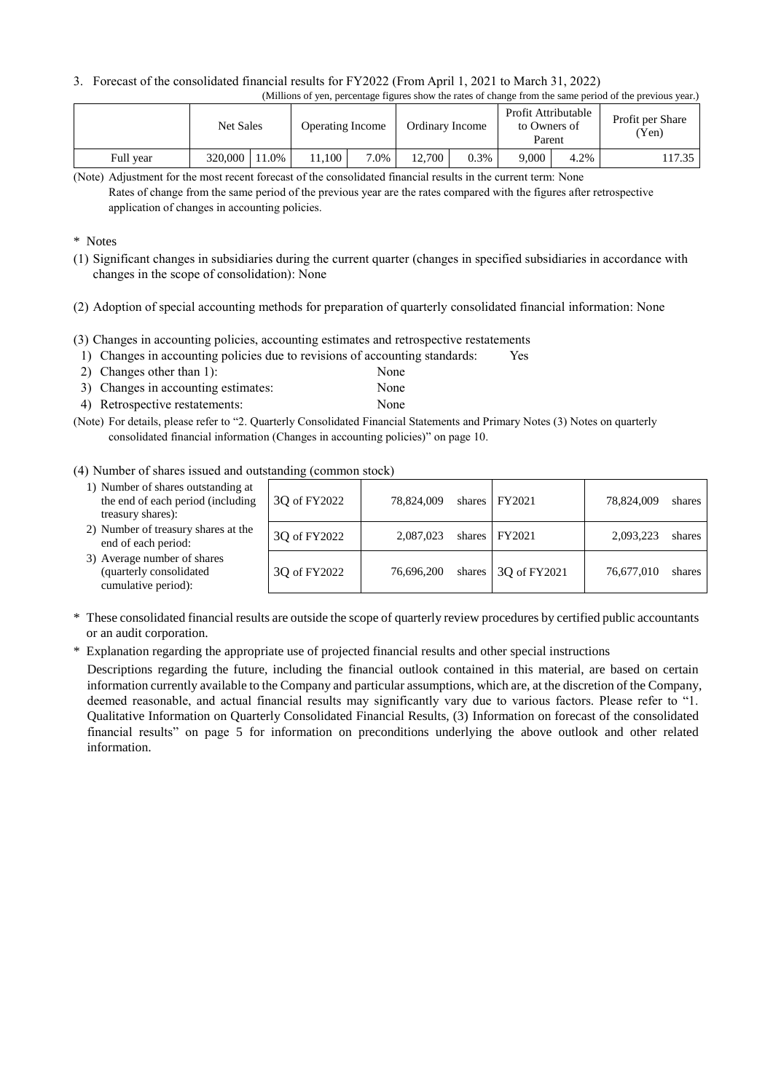### 3. Forecast of the consolidated financial results for FY2022 (From April 1, 2021 to March 31, 2022)

|--|

|           | <b>Net Sales</b> |       | <b>Operating Income</b> |      | Ordinary Income |      | Profit Attributable<br>to Owners of<br>Parent |      | Profit per Share<br>Yen |
|-----------|------------------|-------|-------------------------|------|-----------------|------|-----------------------------------------------|------|-------------------------|
| Full year | 320,000          | 11.0% | 1.100                   | 7.0% | 12,700          | 0.3% | 9.000                                         | 4.2% | 17.35                   |

(Note) Adjustment for the most recent forecast of the consolidated financial results in the current term: None

### \* Notes

- (1) Significant changes in subsidiaries during the current quarter (changes in specified subsidiaries in accordance with changes in the scope of consolidation): None
- (2) Adoption of special accounting methods for preparation of quarterly consolidated financial information: None
- (3) Changes in accounting policies, accounting estimates and retrospective restatements
- 1) Changes in accounting policies due to revisions of accounting standards: Yes
- 2) Changes other than 1): None
- 3) Changes in accounting estimates: None
- 4) Retrospective restatements: None
- (Note) For details, please refer to "2. Quarterly Consolidated Financial Statements and Primary Notes (3) Notes on quarterly consolidated financial information (Changes in accounting policies)" on page 10.

### (4) Number of shares issued and outstanding (common stock)

| 1) Number of shares outstanding at<br>the end of each period (including<br>treasury shares): | 3Q of FY2022 | 78.824,009 | shares $FY2021$             | 78,824,009 | shares |
|----------------------------------------------------------------------------------------------|--------------|------------|-----------------------------|------------|--------|
| 2) Number of treasury shares at the<br>end of each period:                                   | 3Q of FY2022 | 2,087,023  | shares   FY2021             | 2,093,223  | shares |
| 3) Average number of shares<br>(quarterly consolidated<br>cumulative period):                | 3Q of FY2022 | 76,696,200 | shares $\vert$ 3Q of FY2021 | 76,677,010 | shares |

- \* These consolidated financial results are outside the scope of quarterly review procedures by certified public accountants or an audit corporation.
- \* Explanation regarding the appropriate use of projected financial results and other special instructions

Descriptions regarding the future, including the financial outlook contained in this material, are based on certain information currently available to the Company and particular assumptions, which are, at the discretion of the Company, deemed reasonable, and actual financial results may significantly vary due to various factors. Please refer to "1. Qualitative Information on Quarterly Consolidated Financial Results, (3) Information on forecast of the consolidated financial results" on page 5 for information on preconditions underlying the above outlook and other related information.

Rates of change from the same period of the previous year are the rates compared with the figures after retrospective application of changes in accounting policies.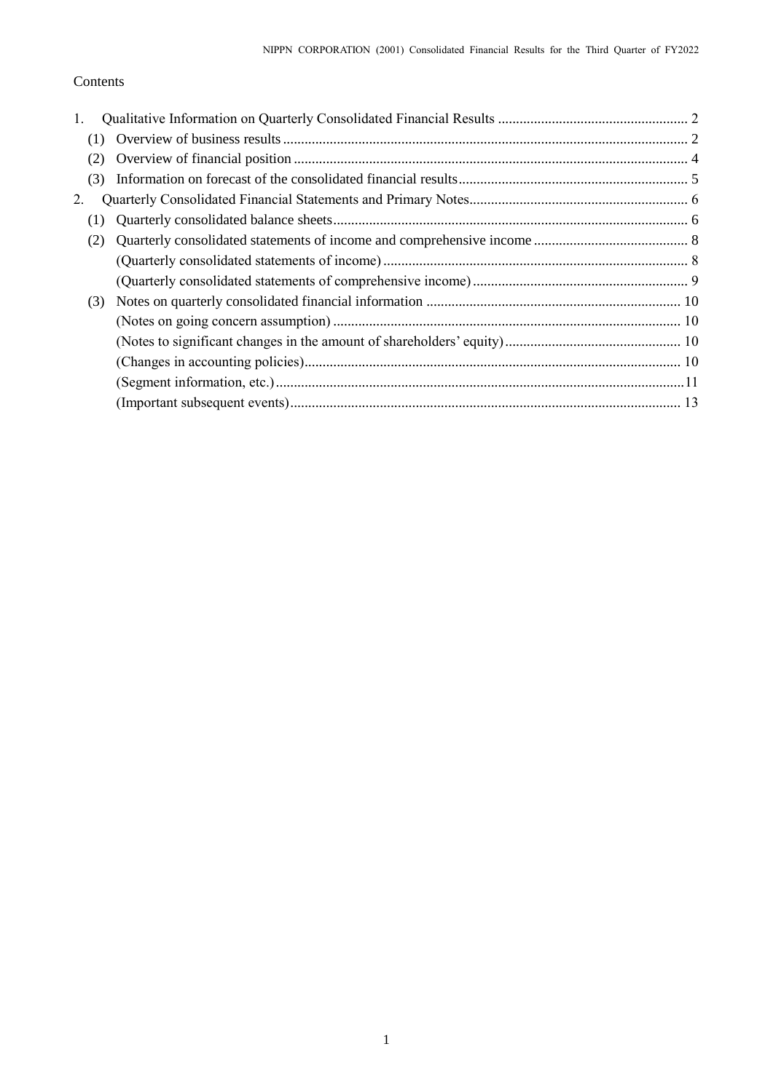## Contents

| 1.  |  |
|-----|--|
|     |  |
| (2) |  |
| (3) |  |
| 2.  |  |
| (1) |  |
| (2) |  |
|     |  |
|     |  |
| (3) |  |
|     |  |
|     |  |
|     |  |
|     |  |
|     |  |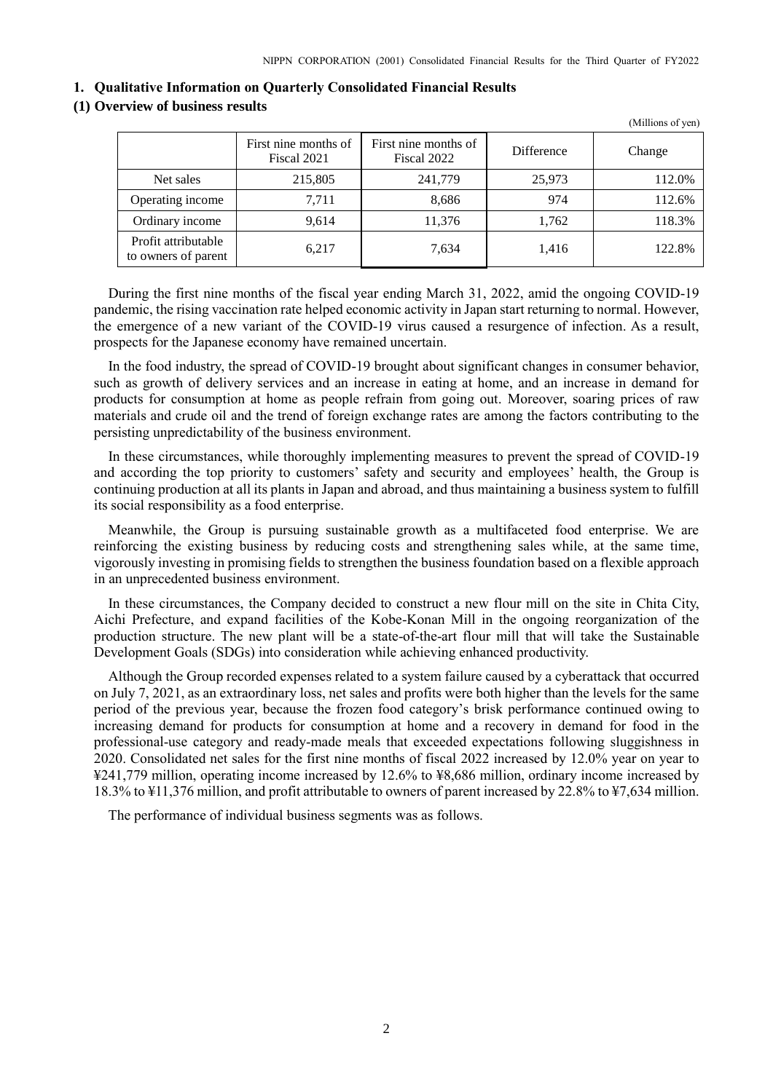(Millions of yen)

#### <span id="page-3-0"></span>**1. Qualitative Information on Quarterly Consolidated Financial Results**

### <span id="page-3-1"></span>**(1) Overview of business results**

|                                            | First nine months of<br>Fiscal 2021 | First nine months of<br>Fiscal 2022 | Difference | Change |
|--------------------------------------------|-------------------------------------|-------------------------------------|------------|--------|
| Net sales                                  | 215,805                             | 241,779                             | 25,973     | 112.0% |
| Operating income                           | 7.711                               | 8,686                               | 974        | 112.6% |
| Ordinary income                            | 9,614                               | 11,376                              | 1,762      | 118.3% |
| Profit attributable<br>to owners of parent | 6,217                               | 7,634                               | 1.416      | 122.8% |

During the first nine months of the fiscal year ending March 31, 2022, amid the ongoing COVID-19 pandemic, the rising vaccination rate helped economic activity in Japan start returning to normal. However, the emergence of a new variant of the COVID-19 virus caused a resurgence of infection. As a result, prospects for the Japanese economy have remained uncertain.

In the food industry, the spread of COVID-19 brought about significant changes in consumer behavior, such as growth of delivery services and an increase in eating at home, and an increase in demand for products for consumption at home as people refrain from going out. Moreover, soaring prices of raw materials and crude oil and the trend of foreign exchange rates are among the factors contributing to the persisting unpredictability of the business environment.

In these circumstances, while thoroughly implementing measures to prevent the spread of COVID-19 and according the top priority to customers' safety and security and employees' health, the Group is continuing production at all its plants in Japan and abroad, and thus maintaining a business system to fulfill its social responsibility as a food enterprise.

Meanwhile, the Group is pursuing sustainable growth as a multifaceted food enterprise. We are reinforcing the existing business by reducing costs and strengthening sales while, at the same time, vigorously investing in promising fields to strengthen the business foundation based on a flexible approach in an unprecedented business environment.

In these circumstances, the Company decided to construct a new flour mill on the site in Chita City, Aichi Prefecture, and expand facilities of the Kobe-Konan Mill in the ongoing reorganization of the production structure. The new plant will be a state-of-the-art flour mill that will take the Sustainable Development Goals (SDGs) into consideration while achieving enhanced productivity.

Although the Group recorded expenses related to a system failure caused by a cyberattack that occurred on July 7, 2021, as an extraordinary loss, net sales and profits were both higher than the levels for the same period of the previous year, because the frozen food category's brisk performance continued owing to increasing demand for products for consumption at home and a recovery in demand for food in the professional-use category and ready-made meals that exceeded expectations following sluggishness in 2020. Consolidated net sales for the first nine months of fiscal 2022 increased by 12.0% year on year to ¥241,779 million, operating income increased by 12.6% to ¥8,686 million, ordinary income increased by 18.3% to ¥11,376 million, and profit attributable to owners of parent increased by 22.8% to ¥7,634 million.

The performance of individual business segments was as follows.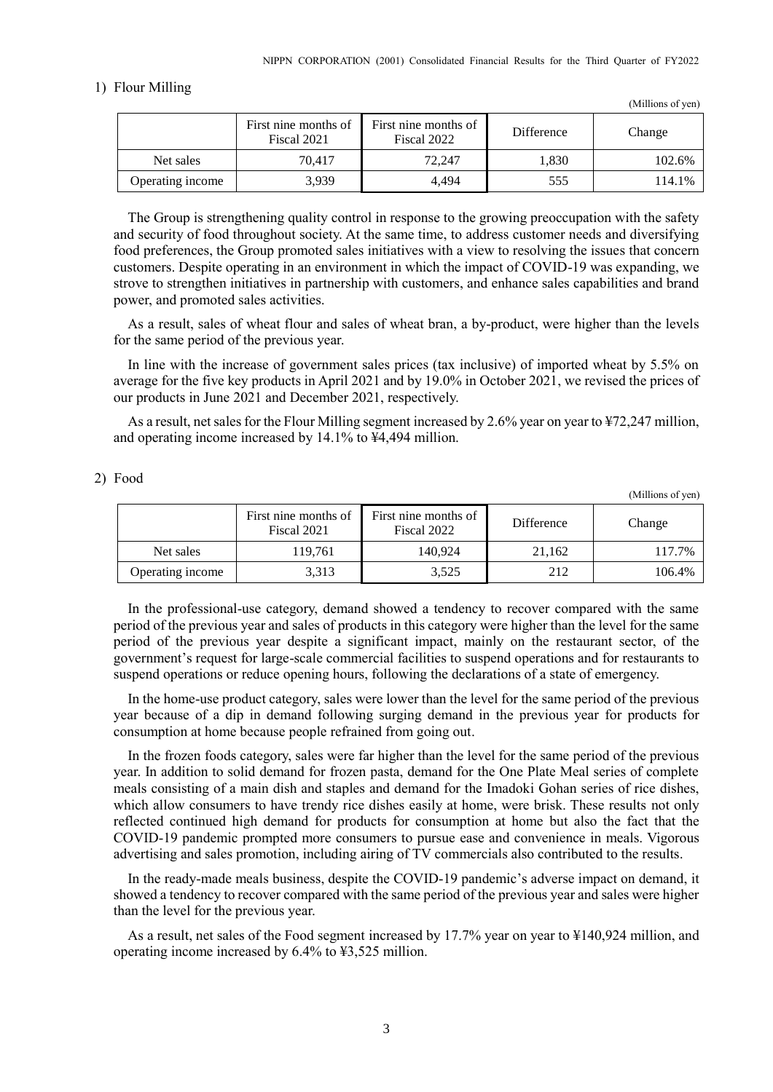### 1) Flour Milling

|                  | First nine months of<br>Fiscal 2021 | First nine months of<br>Fiscal 2022 | <b>Difference</b> | Change |
|------------------|-------------------------------------|-------------------------------------|-------------------|--------|
| Net sales        | 70.417                              | 72.247                              | 1,830             | 102.6% |
| Operating income | 3.939                               | 4.494                               | 555               | 114.1% |

The Group is strengthening quality control in response to the growing preoccupation with the safety and security of food throughout society. At the same time, to address customer needs and diversifying food preferences, the Group promoted sales initiatives with a view to resolving the issues that concern customers. Despite operating in an environment in which the impact of COVID-19 was expanding, we strove to strengthen initiatives in partnership with customers, and enhance sales capabilities and brand power, and promoted sales activities.

As a result, sales of wheat flour and sales of wheat bran, a by-product, were higher than the levels for the same period of the previous year.

In line with the increase of government sales prices (tax inclusive) of imported wheat by 5.5% on average for the five key products in April 2021 and by 19.0% in October 2021, we revised the prices of our products in June 2021 and December 2021, respectively.

As a result, net sales for the Flour Milling segment increased by 2.6% year on year to ¥72,247 million, and operating income increased by 14.1% to ¥4,494 million.

### 2) Food

(Millions of yen)

(Millions of yen)

|                  | First nine months of<br>Fiscal 2021 | First nine months of<br>Fiscal 2022 | <b>Difference</b> | Change |
|------------------|-------------------------------------|-------------------------------------|-------------------|--------|
| Net sales        | 119.761                             | 140.924                             | 21.162            | 117.7% |
| Operating income | 3,313                               | 3,525                               | 212               | 106.4% |

In the professional-use category, demand showed a tendency to recover compared with the same period of the previous year and sales of products in this category were higher than the level for the same period of the previous year despite a significant impact, mainly on the restaurant sector, of the government's request for large-scale commercial facilities to suspend operations and for restaurants to suspend operations or reduce opening hours, following the declarations of a state of emergency.

In the home-use product category, sales were lower than the level for the same period of the previous year because of a dip in demand following surging demand in the previous year for products for consumption at home because people refrained from going out.

In the frozen foods category, sales were far higher than the level for the same period of the previous year. In addition to solid demand for frozen pasta, demand for the One Plate Meal series of complete meals consisting of a main dish and staples and demand for the Imadoki Gohan series of rice dishes, which allow consumers to have trendy rice dishes easily at home, were brisk. These results not only reflected continued high demand for products for consumption at home but also the fact that the COVID-19 pandemic prompted more consumers to pursue ease and convenience in meals. Vigorous advertising and sales promotion, including airing of TV commercials also contributed to the results.

In the ready-made meals business, despite the COVID-19 pandemic's adverse impact on demand, it showed a tendency to recover compared with the same period of the previous year and sales were higher than the level for the previous year.

As a result, net sales of the Food segment increased by 17.7% year on year to ¥140,924 million, and operating income increased by 6.4% to ¥3,525 million.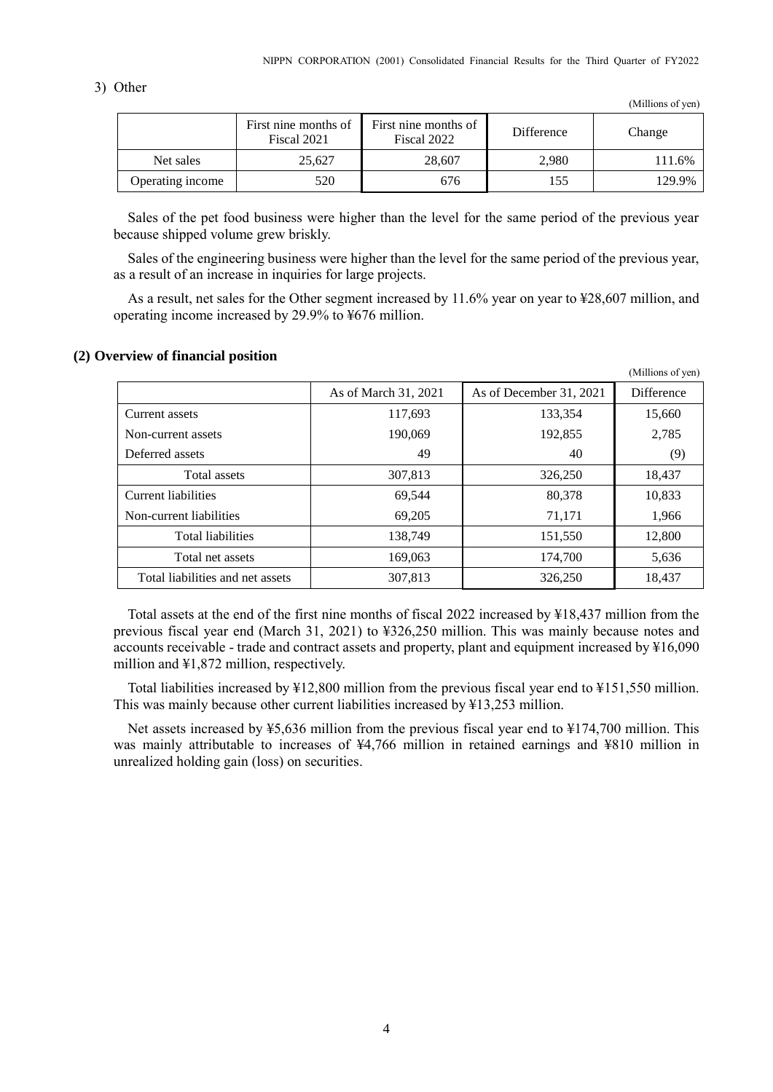### 3) Other

(Millions of yen)

 $(M)$ llions of  $($ 

|                  | First nine months of<br>Fiscal 2021 | First nine months of<br>Fiscal 2022 | Difference | Change |
|------------------|-------------------------------------|-------------------------------------|------------|--------|
| Net sales        | 25.627                              | 28,607                              | 2.980      | 111.6% |
| Operating income | 520                                 | 676                                 | 155        | 129.9% |

Sales of the pet food business were higher than the level for the same period of the previous year because shipped volume grew briskly.

Sales of the engineering business were higher than the level for the same period of the previous year, as a result of an increase in inquiries for large projects.

As a result, net sales for the Other segment increased by 11.6% year on year to ¥28,607 million, and operating income increased by 29.9% to ¥676 million.

### <span id="page-5-0"></span>**(2) Overview of financial position**

|                                  |                      |                         | (101111101150111011) |
|----------------------------------|----------------------|-------------------------|----------------------|
|                                  | As of March 31, 2021 | As of December 31, 2021 | <b>Difference</b>    |
| Current assets                   | 117,693              | 133,354                 | 15,660               |
| Non-current assets               | 190,069              | 192,855                 | 2,785                |
| Deferred assets                  | 49                   | 40                      | (9)                  |
| Total assets                     | 307,813              | 326,250                 | 18,437               |
| Current liabilities              | 69,544               | 80,378                  | 10,833               |
| Non-current liabilities          | 69,205               | 71,171                  | 1,966                |
| <b>Total liabilities</b>         | 138,749              | 151,550                 | 12,800               |
| Total net assets                 | 169,063              | 174,700                 | 5,636                |
| Total liabilities and net assets | 307,813              | 326,250                 | 18,437               |

Total assets at the end of the first nine months of fiscal 2022 increased by ¥18,437 million from the previous fiscal year end (March 31, 2021) to ¥326,250 million. This was mainly because notes and accounts receivable - trade and contract assets and property, plant and equipment increased by ¥16,090 million and ¥1,872 million, respectively.

Total liabilities increased by ¥12,800 million from the previous fiscal year end to ¥151,550 million. This was mainly because other current liabilities increased by ¥13,253 million.

Net assets increased by ¥5,636 million from the previous fiscal year end to ¥174,700 million. This was mainly attributable to increases of ¥4,766 million in retained earnings and ¥810 million in unrealized holding gain (loss) on securities.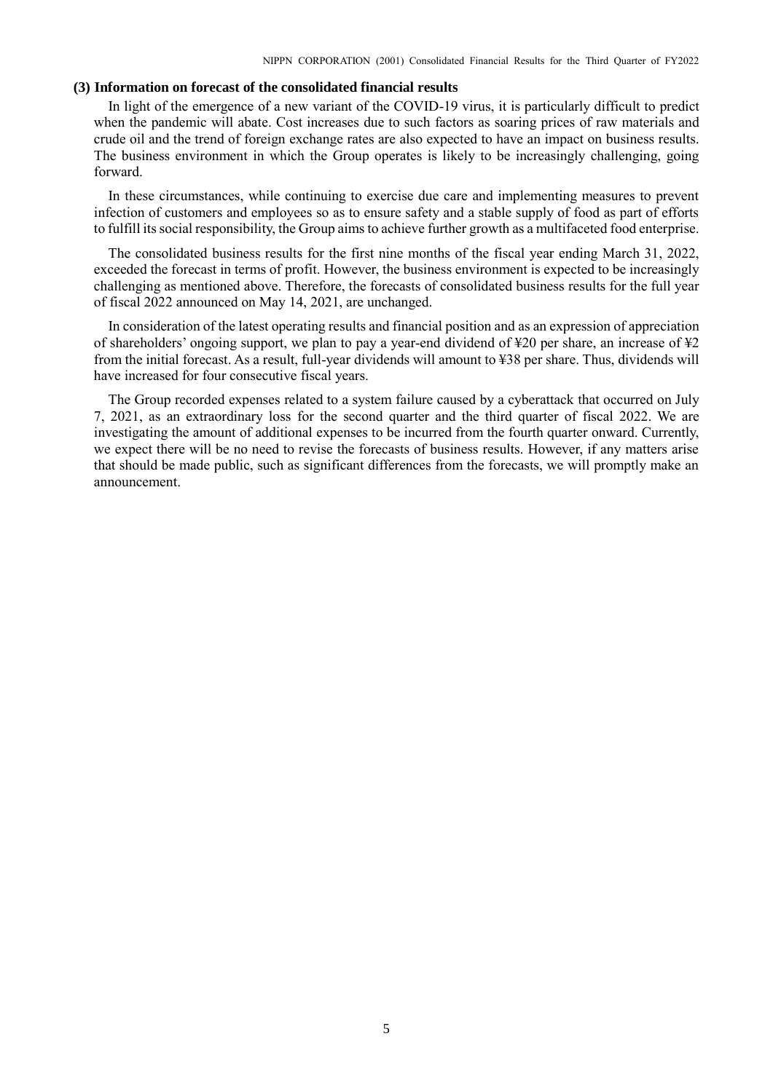### <span id="page-6-0"></span>**(3) Information on forecast of the consolidated financial results**

In light of the emergence of a new variant of the COVID-19 virus, it is particularly difficult to predict when the pandemic will abate. Cost increases due to such factors as soaring prices of raw materials and crude oil and the trend of foreign exchange rates are also expected to have an impact on business results. The business environment in which the Group operates is likely to be increasingly challenging, going forward.

In these circumstances, while continuing to exercise due care and implementing measures to prevent infection of customers and employees so as to ensure safety and a stable supply of food as part of efforts to fulfill its social responsibility, the Group aims to achieve further growth as a multifaceted food enterprise.

The consolidated business results for the first nine months of the fiscal year ending March 31, 2022, exceeded the forecast in terms of profit. However, the business environment is expected to be increasingly challenging as mentioned above. Therefore, the forecasts of consolidated business results for the full year of fiscal 2022 announced on May 14, 2021, are unchanged.

In consideration of the latest operating results and financial position and as an expression of appreciation of shareholders' ongoing support, we plan to pay a year-end dividend of  $\text{\textsterling}20$  per share, an increase of  $\text{\textsterling}2$ from the initial forecast. As a result, full-year dividends will amount to ¥38 per share. Thus, dividends will have increased for four consecutive fiscal years.

The Group recorded expenses related to a system failure caused by a cyberattack that occurred on July 7, 2021, as an extraordinary loss for the second quarter and the third quarter of fiscal 2022. We are investigating the amount of additional expenses to be incurred from the fourth quarter onward. Currently, we expect there will be no need to revise the forecasts of business results. However, if any matters arise that should be made public, such as significant differences from the forecasts, we will promptly make an announcement.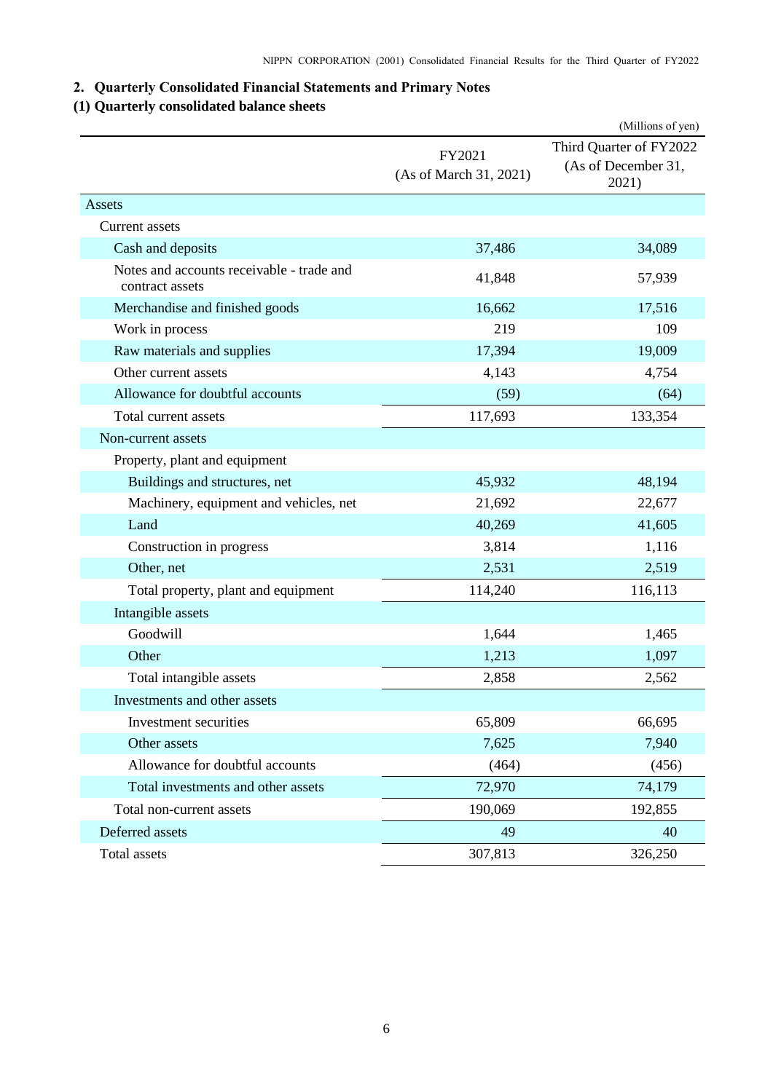## <span id="page-7-0"></span>**2. Quarterly Consolidated Financial Statements and Primary Notes**

## <span id="page-7-1"></span>**(1) Quarterly consolidated balance sheets**

|                                                              |                                  | (Millions of yen)                                       |
|--------------------------------------------------------------|----------------------------------|---------------------------------------------------------|
|                                                              | FY2021<br>(As of March 31, 2021) | Third Quarter of FY2022<br>(As of December 31,<br>2021) |
| Assets                                                       |                                  |                                                         |
| Current assets                                               |                                  |                                                         |
| Cash and deposits                                            | 37,486                           | 34,089                                                  |
| Notes and accounts receivable - trade and<br>contract assets | 41,848                           | 57,939                                                  |
| Merchandise and finished goods                               | 16,662                           | 17,516                                                  |
| Work in process                                              | 219                              | 109                                                     |
| Raw materials and supplies                                   | 17,394                           | 19,009                                                  |
| Other current assets                                         | 4,143                            | 4,754                                                   |
| Allowance for doubtful accounts                              | (59)                             | (64)                                                    |
| Total current assets                                         | 117,693                          | 133,354                                                 |
| Non-current assets                                           |                                  |                                                         |
| Property, plant and equipment                                |                                  |                                                         |
| Buildings and structures, net                                | 45,932                           | 48,194                                                  |
| Machinery, equipment and vehicles, net                       | 21,692                           | 22,677                                                  |
| Land                                                         | 40,269                           | 41,605                                                  |
| Construction in progress                                     | 3,814                            | 1,116                                                   |
| Other, net                                                   | 2,531                            | 2,519                                                   |
| Total property, plant and equipment                          | 114,240                          | 116,113                                                 |
| Intangible assets                                            |                                  |                                                         |
| Goodwill                                                     | 1,644                            | 1,465                                                   |
| Other                                                        | 1,213                            | 1,097                                                   |
| Total intangible assets                                      | 2,858                            | 2,562                                                   |
| Investments and other assets                                 |                                  |                                                         |
| Investment securities                                        | 65,809                           | 66,695                                                  |
| Other assets                                                 | 7,625                            | 7,940                                                   |
| Allowance for doubtful accounts                              | (464)                            | (456)                                                   |
| Total investments and other assets                           | 72,970                           | 74,179                                                  |
| Total non-current assets                                     | 190,069                          | 192,855                                                 |
| Deferred assets                                              | 49                               | 40                                                      |
| Total assets                                                 | 307,813                          | 326,250                                                 |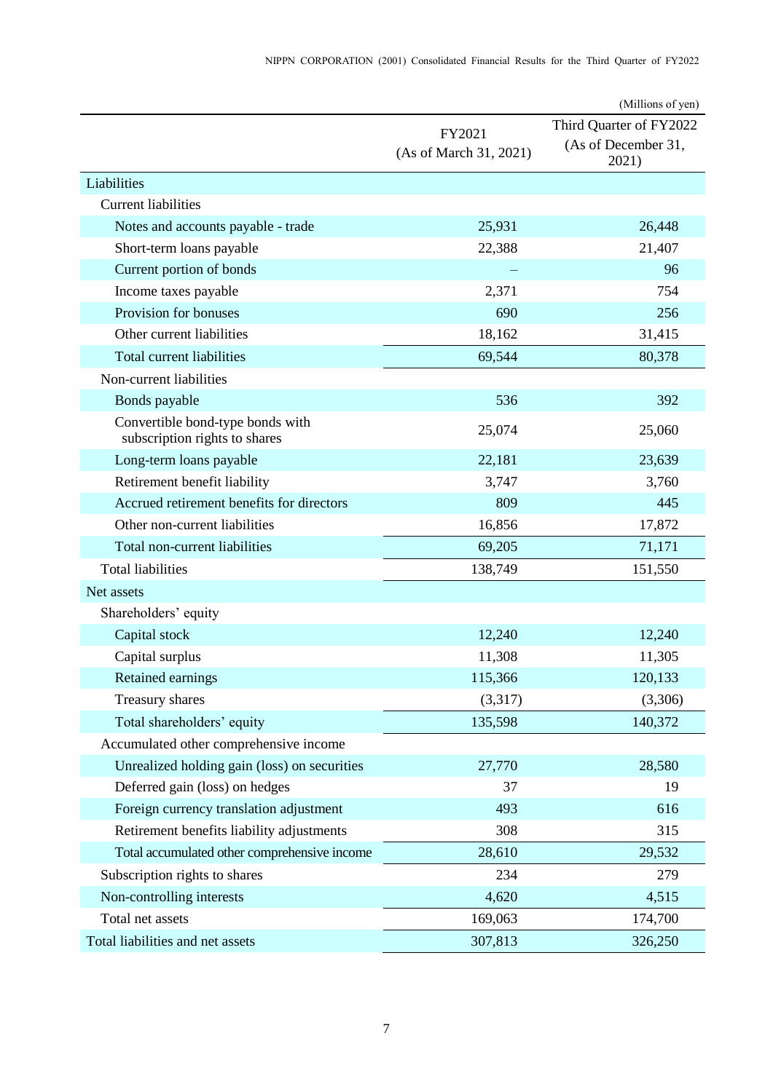|                                                                   |                                  | (Millions of yen)                                       |
|-------------------------------------------------------------------|----------------------------------|---------------------------------------------------------|
|                                                                   | FY2021<br>(As of March 31, 2021) | Third Quarter of FY2022<br>(As of December 31,<br>2021) |
| Liabilities                                                       |                                  |                                                         |
| <b>Current liabilities</b>                                        |                                  |                                                         |
| Notes and accounts payable - trade                                | 25,931                           | 26,448                                                  |
| Short-term loans payable                                          | 22,388                           | 21,407                                                  |
| Current portion of bonds                                          |                                  | 96                                                      |
| Income taxes payable                                              | 2,371                            | 754                                                     |
| Provision for bonuses                                             | 690                              | 256                                                     |
| Other current liabilities                                         | 18,162                           | 31,415                                                  |
| Total current liabilities                                         | 69,544                           | 80,378                                                  |
| Non-current liabilities                                           |                                  |                                                         |
| Bonds payable                                                     | 536                              | 392                                                     |
| Convertible bond-type bonds with<br>subscription rights to shares | 25,074                           | 25,060                                                  |
| Long-term loans payable                                           | 22,181                           | 23,639                                                  |
| Retirement benefit liability                                      | 3,747                            | 3,760                                                   |
| Accrued retirement benefits for directors                         | 809                              | 445                                                     |
| Other non-current liabilities                                     | 16,856                           | 17,872                                                  |
| Total non-current liabilities                                     | 69,205                           | 71,171                                                  |
| <b>Total liabilities</b>                                          | 138,749                          | 151,550                                                 |
| Net assets                                                        |                                  |                                                         |
| Shareholders' equity                                              |                                  |                                                         |
| Capital stock                                                     | 12,240                           | 12,240                                                  |
| Capital surplus                                                   | 11,308                           | 11,305                                                  |
| <b>Retained earnings</b>                                          | 115,366                          | 120,133                                                 |
| Treasury shares                                                   | (3,317)                          | (3,306)                                                 |
| Total shareholders' equity                                        | 135,598                          | 140,372                                                 |
| Accumulated other comprehensive income                            |                                  |                                                         |
| Unrealized holding gain (loss) on securities                      | 27,770                           | 28,580                                                  |
| Deferred gain (loss) on hedges                                    | 37                               | 19                                                      |
| Foreign currency translation adjustment                           | 493                              | 616                                                     |
| Retirement benefits liability adjustments                         | 308                              | 315                                                     |
| Total accumulated other comprehensive income                      | 28,610                           | 29,532                                                  |
| Subscription rights to shares                                     | 234                              | 279                                                     |
| Non-controlling interests                                         | 4,620                            | 4,515                                                   |
| Total net assets                                                  | 169,063                          | 174,700                                                 |
| Total liabilities and net assets                                  | 307,813                          | 326,250                                                 |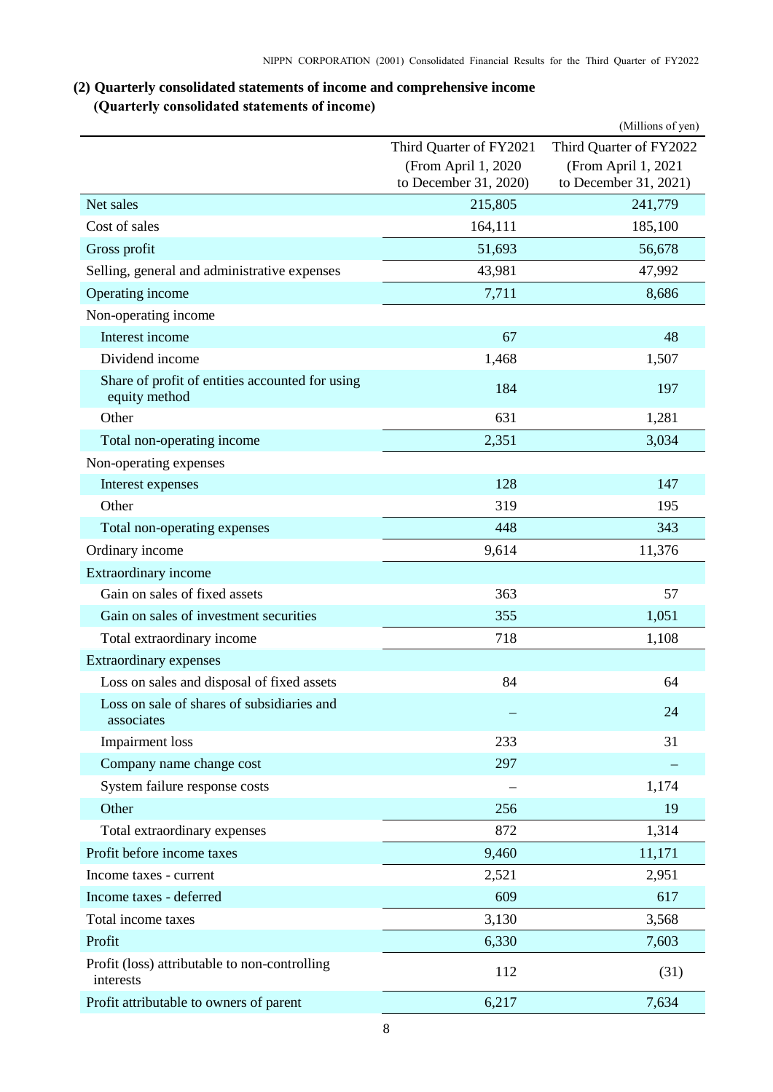## <span id="page-9-0"></span>**(2) Quarterly consolidated statements of income and comprehensive income (Quarterly consolidated statements of income)**

<span id="page-9-1"></span>

|                                                                  |                                              | (Millions of yen)                            |
|------------------------------------------------------------------|----------------------------------------------|----------------------------------------------|
|                                                                  | Third Quarter of FY2021                      | Third Quarter of FY2022                      |
|                                                                  | (From April 1, 2020<br>to December 31, 2020) | (From April 1, 2021<br>to December 31, 2021) |
| Net sales                                                        | 215,805                                      | 241,779                                      |
| Cost of sales                                                    | 164,111                                      | 185,100                                      |
| Gross profit                                                     | 51,693                                       | 56,678                                       |
| Selling, general and administrative expenses                     | 43,981                                       | 47,992                                       |
| Operating income                                                 | 7,711                                        | 8,686                                        |
| Non-operating income                                             |                                              |                                              |
| Interest income                                                  | 67                                           | 48                                           |
| Dividend income                                                  | 1,468                                        | 1,507                                        |
| Share of profit of entities accounted for using<br>equity method | 184                                          | 197                                          |
| Other                                                            | 631                                          | 1,281                                        |
| Total non-operating income                                       | 2,351                                        | 3,034                                        |
| Non-operating expenses                                           |                                              |                                              |
| Interest expenses                                                | 128                                          | 147                                          |
| Other                                                            | 319                                          | 195                                          |
| Total non-operating expenses                                     | 448                                          | 343                                          |
| Ordinary income                                                  | 9,614                                        | 11,376                                       |
| Extraordinary income                                             |                                              |                                              |
| Gain on sales of fixed assets                                    | 363                                          | 57                                           |
| Gain on sales of investment securities                           | 355                                          | 1,051                                        |
| Total extraordinary income                                       | 718                                          | 1,108                                        |
| Extraordinary expenses                                           |                                              |                                              |
| Loss on sales and disposal of fixed assets                       | 84                                           | 64                                           |
| Loss on sale of shares of subsidiaries and<br>associates         |                                              | 24                                           |
| <b>Impairment</b> loss                                           | 233                                          | 31                                           |
| Company name change cost                                         | 297                                          |                                              |
| System failure response costs                                    |                                              | 1,174                                        |
| Other                                                            | 256                                          | 19                                           |
| Total extraordinary expenses                                     | 872                                          | 1,314                                        |
| Profit before income taxes                                       | 9,460                                        | 11,171                                       |
| Income taxes - current                                           | 2,521                                        | 2,951                                        |
| Income taxes - deferred                                          | 609                                          | 617                                          |
| Total income taxes                                               | 3,130                                        | 3,568                                        |
| Profit                                                           | 6,330                                        | 7,603                                        |
| Profit (loss) attributable to non-controlling<br>interests       | 112                                          | (31)                                         |
| Profit attributable to owners of parent                          | 6,217                                        | 7,634                                        |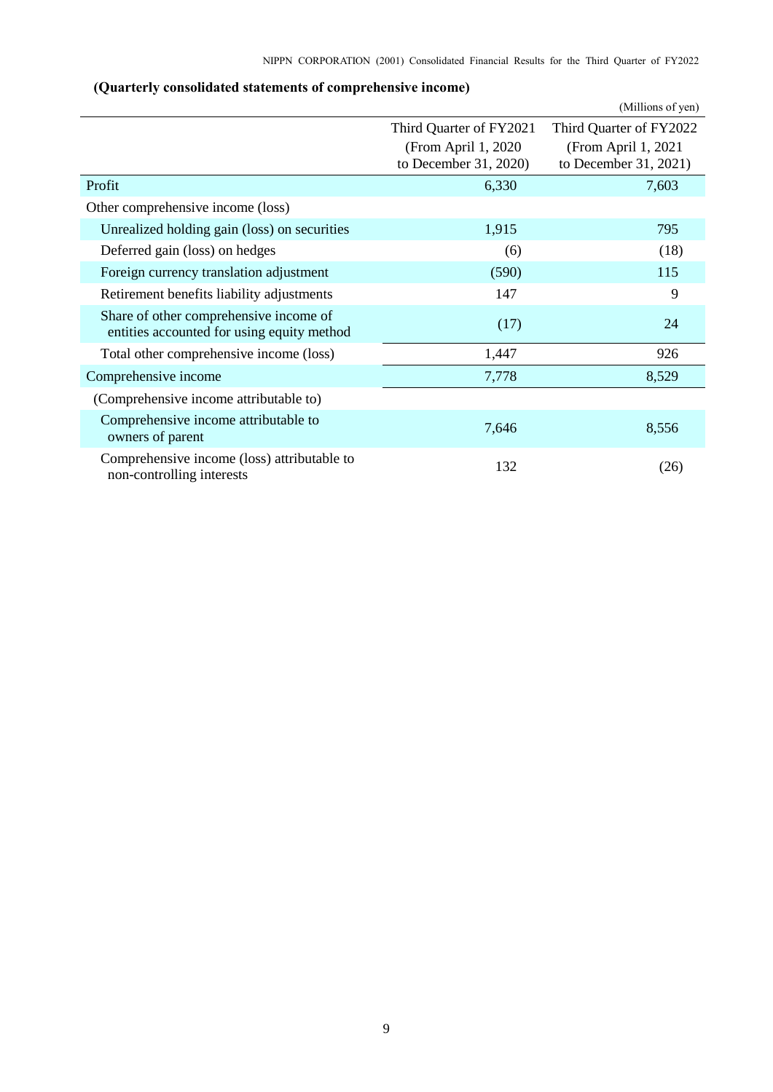<span id="page-10-0"></span>

|                                                                                      |                         | (Millions of yen)       |
|--------------------------------------------------------------------------------------|-------------------------|-------------------------|
|                                                                                      | Third Quarter of FY2021 | Third Quarter of FY2022 |
|                                                                                      | (From April 1, 2020)    | (From April 1, 2021)    |
|                                                                                      | to December 31, 2020)   | to December 31, 2021)   |
| Profit                                                                               | 6,330                   | 7,603                   |
| Other comprehensive income (loss)                                                    |                         |                         |
| Unrealized holding gain (loss) on securities                                         | 1,915                   | 795                     |
| Deferred gain (loss) on hedges                                                       | (6)                     | (18)                    |
| Foreign currency translation adjustment                                              | (590)                   | 115                     |
| Retirement benefits liability adjustments                                            | 147                     | 9                       |
| Share of other comprehensive income of<br>entities accounted for using equity method | (17)                    | 24                      |
| Total other comprehensive income (loss)                                              | 1,447                   | 926                     |
| Comprehensive income                                                                 | 7,778                   | 8,529                   |
| (Comprehensive income attributable to)                                               |                         |                         |
| Comprehensive income attributable to<br>owners of parent                             | 7,646                   | 8,556                   |
| Comprehensive income (loss) attributable to<br>non-controlling interests             | 132                     | (26)                    |

## **(Quarterly consolidated statements of comprehensive income)**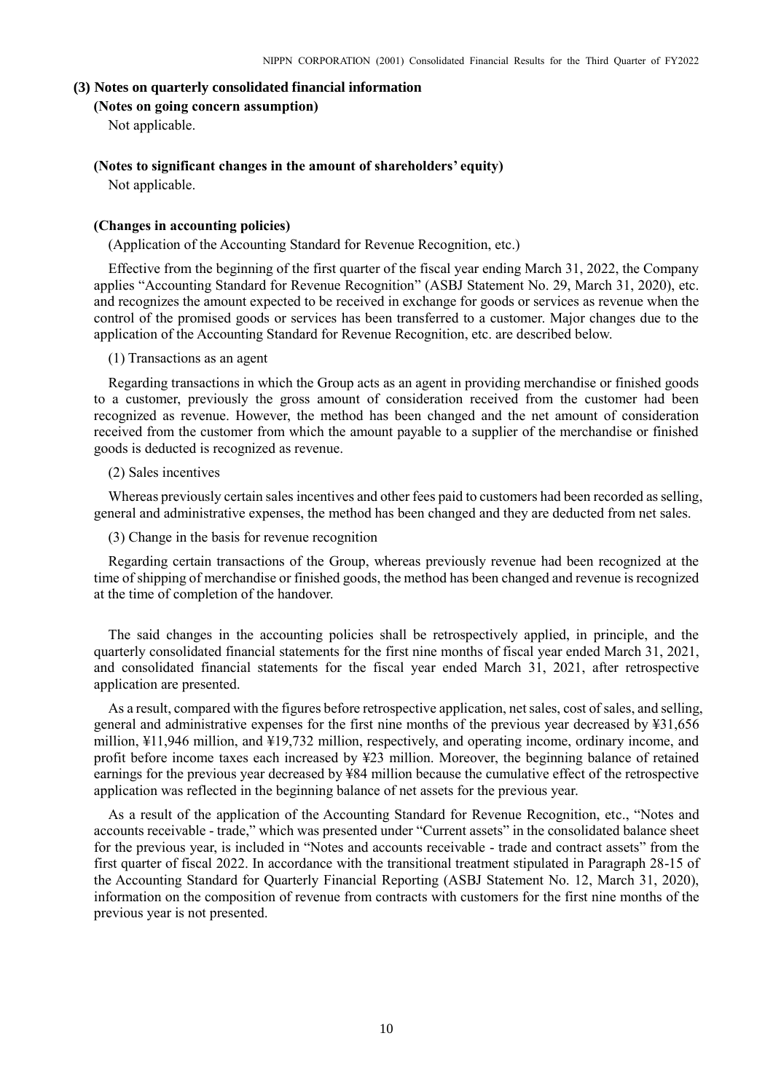#### <span id="page-11-1"></span><span id="page-11-0"></span>**(3) Notes on quarterly consolidated financial information**

### **(Notes on going concern assumption)**

Not applicable.

## <span id="page-11-2"></span>**(Notes to significant changes in the amount of shareholders' equity)**

Not applicable.

### <span id="page-11-3"></span>**(Changes in accounting policies)**

(Application of the Accounting Standard for Revenue Recognition, etc.)

Effective from the beginning of the first quarter of the fiscal year ending March 31, 2022, the Company applies "Accounting Standard for Revenue Recognition" (ASBJ Statement No. 29, March 31, 2020), etc. and recognizes the amount expected to be received in exchange for goods or services as revenue when the control of the promised goods or services has been transferred to a customer. Major changes due to the application of the Accounting Standard for Revenue Recognition, etc. are described below.

#### (1) Transactions as an agent

Regarding transactions in which the Group acts as an agent in providing merchandise or finished goods to a customer, previously the gross amount of consideration received from the customer had been recognized as revenue. However, the method has been changed and the net amount of consideration received from the customer from which the amount payable to a supplier of the merchandise or finished goods is deducted is recognized as revenue.

#### (2) Sales incentives

Whereas previously certain sales incentives and other fees paid to customers had been recorded as selling, general and administrative expenses, the method has been changed and they are deducted from net sales.

(3) Change in the basis for revenue recognition

Regarding certain transactions of the Group, whereas previously revenue had been recognized at the time of shipping of merchandise or finished goods, the method has been changed and revenue is recognized at the time of completion of the handover.

The said changes in the accounting policies shall be retrospectively applied, in principle, and the quarterly consolidated financial statements for the first nine months of fiscal year ended March 31, 2021, and consolidated financial statements for the fiscal year ended March 31, 2021, after retrospective application are presented.

As a result, compared with the figures before retrospective application, net sales, cost of sales, and selling, general and administrative expenses for the first nine months of the previous year decreased by ¥31,656 million, ¥11,946 million, and ¥19,732 million, respectively, and operating income, ordinary income, and profit before income taxes each increased by ¥23 million. Moreover, the beginning balance of retained earnings for the previous year decreased by ¥84 million because the cumulative effect of the retrospective application was reflected in the beginning balance of net assets for the previous year.

As a result of the application of the Accounting Standard for Revenue Recognition, etc., "Notes and accounts receivable - trade," which was presented under "Current assets" in the consolidated balance sheet for the previous year, is included in "Notes and accounts receivable - trade and contract assets" from the first quarter of fiscal 2022. In accordance with the transitional treatment stipulated in Paragraph 28-15 of the Accounting Standard for Quarterly Financial Reporting (ASBJ Statement No. 12, March 31, 2020), information on the composition of revenue from contracts with customers for the first nine months of the previous year is not presented.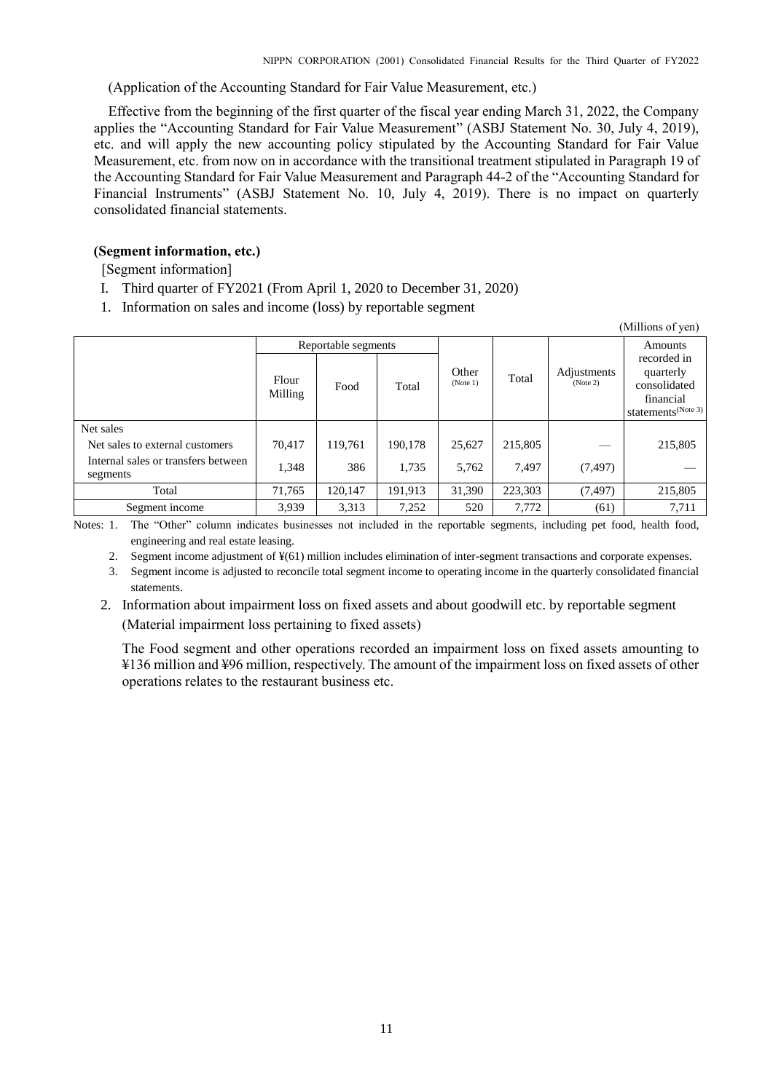(Application of the Accounting Standard for Fair Value Measurement, etc.)

Effective from the beginning of the first quarter of the fiscal year ending March 31, 2022, the Company applies the "Accounting Standard for Fair Value Measurement" (ASBJ Statement No. 30, July 4, 2019), etc. and will apply the new accounting policy stipulated by the Accounting Standard for Fair Value Measurement, etc. from now on in accordance with the transitional treatment stipulated in Paragraph 19 of the Accounting Standard for Fair Value Measurement and Paragraph 44-2 of the "Accounting Standard for Financial Instruments" (ASBJ Statement No. 10, July 4, 2019). There is no impact on quarterly consolidated financial statements.

### <span id="page-12-0"></span>**(Segment information, etc.)**

[Segment information]

- I. Third quarter of FY2021 (From April 1, 2020 to December 31, 2020)
- 1. Information on sales and income (loss) by reportable segment

|                                                 |                     |         |         |                   |         |                         | (Millions of yen)                                                                       |
|-------------------------------------------------|---------------------|---------|---------|-------------------|---------|-------------------------|-----------------------------------------------------------------------------------------|
|                                                 | Reportable segments |         |         |                   |         |                         | <b>Amounts</b>                                                                          |
|                                                 | Flour<br>Milling    | Food    | Total   | Other<br>(Note 1) | Total   | Adjustments<br>(Note 2) | recorded in<br>quarterly<br>consolidated<br>financial<br>statements <sup>(Note 3)</sup> |
| Net sales                                       |                     |         |         |                   |         |                         |                                                                                         |
| Net sales to external customers                 | 70,417              | 119.761 | 190.178 | 25.627            | 215,805 |                         | 215,805                                                                                 |
| Internal sales or transfers between<br>segments | 1,348               | 386     | 1,735   | 5,762             | 7.497   | (7, 497)                |                                                                                         |
| Total                                           | 71,765              | 120,147 | 191,913 | 31,390            | 223,303 | (7, 497)                | 215,805                                                                                 |
| Segment income                                  | 3,939               | 3,313   | 7,252   | 520               | 7,772   | (61)                    | 7,711                                                                                   |

Notes: 1. The "Other" column indicates businesses not included in the reportable segments, including pet food, health food, engineering and real estate leasing.

2. Segment income adjustment of ¥(61) million includes elimination of inter-segment transactions and corporate expenses.

3. Segment income is adjusted to reconcile total segment income to operating income in the quarterly consolidated financial statements.

2. Information about impairment loss on fixed assets and about goodwill etc. by reportable segment (Material impairment loss pertaining to fixed assets)

The Food segment and other operations recorded an impairment loss on fixed assets amounting to ¥136 million and ¥96 million, respectively. The amount of the impairment loss on fixed assets of other operations relates to the restaurant business etc.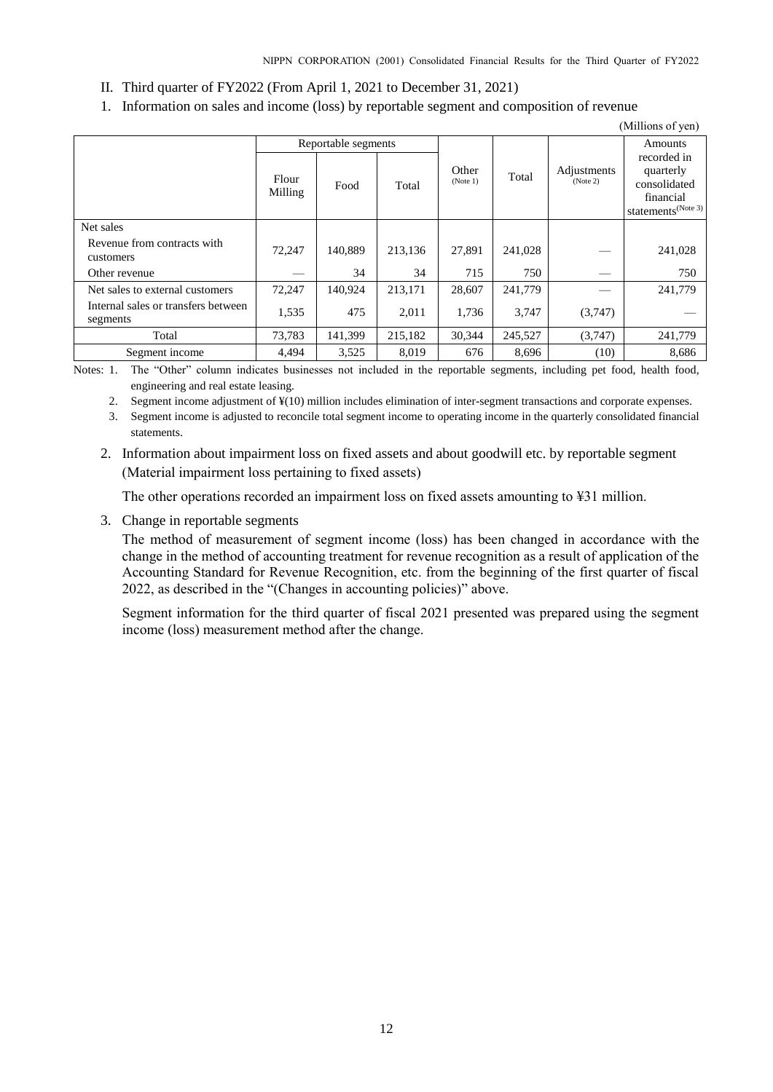- II. Third quarter of FY2022 (From April 1, 2021 to December 31, 2021)
- 1. Information on sales and income (loss) by reportable segment and composition of revenue

|                                                 |                  |                     |         |                   |         |                         | (Millions of yen)                                                                       |
|-------------------------------------------------|------------------|---------------------|---------|-------------------|---------|-------------------------|-----------------------------------------------------------------------------------------|
|                                                 |                  | Reportable segments |         |                   |         | Adjustments<br>(Note 2) | Amounts                                                                                 |
|                                                 | Flour<br>Milling | Food                | Total   | Other<br>(Note 1) | Total   |                         | recorded in<br>quarterly<br>consolidated<br>financial<br>statements <sup>(Note 3)</sup> |
| Net sales                                       |                  |                     |         |                   |         |                         |                                                                                         |
| Revenue from contracts with<br>customers        | 72,247           | 140.889             | 213,136 | 27,891            | 241,028 |                         | 241,028                                                                                 |
| Other revenue                                   |                  | 34                  | 34      | 715               | 750     |                         | 750                                                                                     |
| Net sales to external customers                 | 72,247           | 140,924             | 213,171 | 28,607            | 241,779 |                         | 241,779                                                                                 |
| Internal sales or transfers between<br>segments | 1,535            | 475                 | 2.011   | 1.736             | 3.747   | (3,747)                 |                                                                                         |
| Total                                           | 73,783           | 141,399             | 215,182 | 30,344            | 245,527 | (3,747)                 | 241,779                                                                                 |
| Segment income                                  | 4,494            | 3,525               | 8,019   | 676               | 8,696   | (10)                    | 8,686                                                                                   |

Notes: 1. The "Other" column indicates businesses not included in the reportable segments, including pet food, health food, engineering and real estate leasing.

2. Segment income adjustment of ¥(10) million includes elimination of inter-segment transactions and corporate expenses.

3. Segment income is adjusted to reconcile total segment income to operating income in the quarterly consolidated financial statements.

2. Information about impairment loss on fixed assets and about goodwill etc. by reportable segment (Material impairment loss pertaining to fixed assets)

The other operations recorded an impairment loss on fixed assets amounting to ¥31 million.

3. Change in reportable segments

The method of measurement of segment income (loss) has been changed in accordance with the change in the method of accounting treatment for revenue recognition as a result of application of the Accounting Standard for Revenue Recognition, etc. from the beginning of the first quarter of fiscal 2022, as described in the "(Changes in accounting policies)" above.

Segment information for the third quarter of fiscal 2021 presented was prepared using the segment income (loss) measurement method after the change.